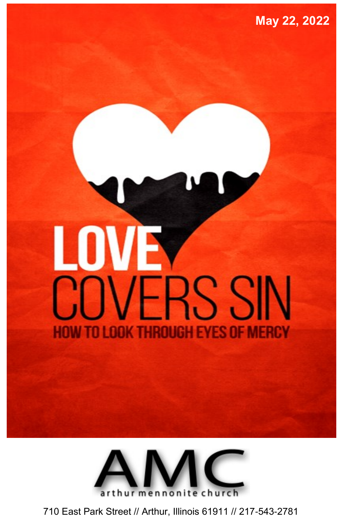# LOVE **COVERS SIN** NE M KTHRIIIII



710 East Park Street // Arthur, Illinois 61911 // 217-543-2781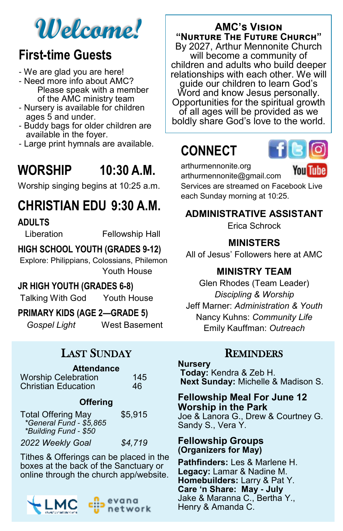## **Welcome!**

### **First-time Guests**

- We are glad you are here!
- Need more info about AMC? Please speak with a member of the AMC ministry team
- Nursery is available for children ages 5 and under.
- Buddy bags for older children are available in the foyer.
- Large print hymnals are available.

### **WORSHIP 10:30 A.M.**

Worship singing begins at 10:25 a.m.

### **CHRISTIAN EDU 9:30 A.M.**

#### **ADULTS**

Liberation Fellowship Hall

#### **HIGH SCHOOL YOUTH (GRADES 9-12)**

Explore: Philippians, Colossians, Philemon Youth House

#### **JR HIGH YOUTH (GRADES 6-8)**

Talking With God Youth House

#### **PRIMARY KIDS (AGE 2—GRADE 5)**

*Gospel Light* West Basement

#### LAST SUNDAY

#### **Attendance**

| <b>Worship Celebration</b> | 145 |
|----------------------------|-----|
| <b>Christian Education</b> | 46  |

#### **Offering**

| <b>Total Offering May</b>                        | \$5,915 |
|--------------------------------------------------|---------|
| *General Fund - \$5,865<br>*Building Fund - \$50 |         |
| 2022 Weekly Goal                                 | \$4.719 |

Tithes & Offerings can be placed in the boxes at the back of the Sanctuary or online through the church app/website.



#### **AMC's Vision "Nurture The Future Church"**

By 2027, Arthur Mennonite Church will become a community of children and adults who build deeper relationships with each other. We will guide our children to learn God's Word and know Jesus personally. Opportunities for the spiritual growth of all ages will be provided as we boldly share God's love to the world.

### **CONNECT**



arthurmennonite.org

You Tube

arthurmennonite@gmail.com Services are streamed on Facebook Live each Sunday morning at 10:25.

#### **ADMINISTRATIVE ASSISTANT**

Erica Schrock

#### **MINISTERS**

All of Jesus' Followers here at AMC

#### **MINISTRY TEAM**

Glen Rhodes (Team Leader) *Discipling & Worship*  Jeff Marner: *Administration & Youth* Nancy Kuhns: *Community Life* Emily Kauffman: *Outreach*

#### **REMINDERS**

**Nursery Today:** Kendra & Zeb H. **Next Sunday:** Michelle & Madison S.

#### **Fellowship Meal For June 12 Worship in the Park** Joe & Lanora G., Drew & Courtney G. Sandy S., Vera Y.

#### **Fellowship Groups (Organizers for May)**

**Pathfinders:** Les & Marlene H. **Legacy:** Lamar & Nadine M. **Homebuilders:** Larry & Pat Y. **Care 'n Share: May - July** Jake & Maranna C., Bertha Y., Henry & Amanda C.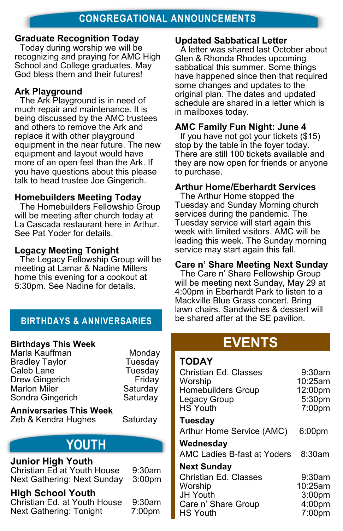#### **Graduate Recognition Today**

Today during worship we will be recognizing and praying for AMC High School and College graduates. May God bless them and their futures!

#### **Ark Playground**

The Ark Playground is in need of much repair and maintenance. It is being discussed by the AMC trustees and others to remove the Ark and replace it with other playground equipment in the near future. The new equipment and layout would have more of an open feel than the Ark. If you have questions about this please talk to head trustee Joe Gingerich.

#### **Homebuilders Meeting Today**

The Homebuilders Fellowship Group will be meeting after church today at La Cascada restaurant here in Arthur. See Pat Yoder for details.

#### **Legacy Meeting Tonight**

The Legacy Fellowship Group will be meeting at Lamar & Nadine Millers home this evening for a cookout at 5:30pm. See Nadine for details.

#### **BIRTHDAYS & ANNIVERSARIES**

#### **Birthdays This Week**

Marla Kauffman **Monday** Bradley Taylor **Tuesday** Caleb Lane **Tuesday** Drew Gingerich Friday Marlon Miler Saturday<br>Sondra Gingerich Saturday Sondra Gingerich

**Anniversaries This Week** Zeb & Kendra Hughes Saturday

### **YOUTH**

#### **Junior High Youth**

Christian Ed at Youth House 9:30am Next Gathering: Next Sunday 3:00pm

#### **High School Youth**

Christian Ed. at Youth House 9:30am Next Gathering: Tonight 7:00pm

#### **Updated Sabbatical Letter**

A letter was shared last October about Glen & Rhonda Rhodes upcoming sabbatical this summer. Some things have happened since then that required some changes and updates to the original plan. The dates and updated schedule are shared in a letter which is in mailboxes today.

#### **AMC Family Fun Night: June 4**

If you have not got your tickets (\$15) stop by the table in the foyer today. There are still 100 tickets available and they are now open for friends or anyone to purchase.

#### **Arthur Home/Eberhardt Services**

The Arthur Home stopped the Tuesday and Sunday Morning church services during the pandemic. The Tuesday service will start again this week with limited visitors. AMC will be leading this week. The Sunday morning service may start again this fall.

#### **Care n' Share Meeting Next Sunday**

The Care n' Share Fellowship Group will be meeting next Sunday, May 29 at 4:00pm in Eberhardt Park to listen to a Mackville Blue Grass concert. Bring lawn chairs. Sandwiches & dessert will be shared after at the SE pavilion.

### **EVENTS**

#### **TODAY**

| Christian Ed. Classes<br>Worship<br><b>Homebuilders Group</b><br>Legacy Group<br>HS Youth | 9:30am<br>$10:25$ am<br>12:00pm<br>5:30pm<br>$7:00$ pm |
|-------------------------------------------------------------------------------------------|--------------------------------------------------------|
| Tuesday                                                                                   |                                                        |
| Arthur Home Service (AMC)                                                                 | 6:00pm                                                 |
| Wednesday                                                                                 |                                                        |
| AMC Ladies B-fast at Yoders                                                               | 8:30am                                                 |
| <b>Next Sunday</b>                                                                        |                                                        |
| Christian Ed. Classes                                                                     | $9:30$ am                                              |
| Worship                                                                                   | 10:25am                                                |
| <b>JH Youth</b>                                                                           | 3:00 <sub>pm</sub>                                     |
| Care n' Share Group                                                                       | 4:00pm                                                 |
| <b>HS Youth</b>                                                                           | $7:00$ pm                                              |